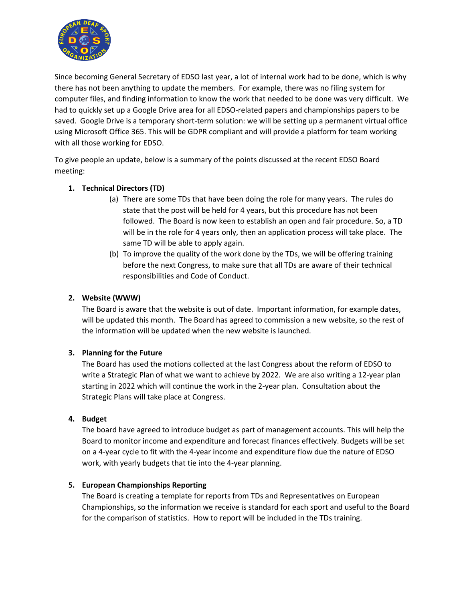

Since becoming General Secretary of EDSO last year, a lot of internal work had to be done, which is why there has not been anything to update the members. For example, there was no filing system for computer files, and finding information to know the work that needed to be done was very difficult. We had to quickly set up a Google Drive area for all EDSO-related papers and championships papers to be saved. Google Drive is a temporary short-term solution: we will be setting up a permanent virtual office using Microsoft Office 365. This will be GDPR compliant and will provide a platform for team working with all those working for EDSO.

To give people an update, below is a summary of the points discussed at the recent EDSO Board meeting:

### **1. Technical Directors (TD)**

- (a) There are some TDs that have been doing the role for many years. The rules do state that the post will be held for 4 years, but this procedure has not been followed. The Board is now keen to establish an open and fair procedure. So, a TD will be in the role for 4 years only, then an application process will take place. The same TD will be able to apply again.
- (b) To improve the quality of the work done by the TDs, we will be offering training before the next Congress, to make sure that all TDs are aware of their technical responsibilities and Code of Conduct.

# **2. Website (WWW)**

The Board is aware that the website is out of date. Important information, for example dates, will be updated this month. The Board has agreed to commission a new website, so the rest of the information will be updated when the new website is launched.

#### **3. Planning for the Future**

The Board has used the motions collected at the last Congress about the reform of EDSO to write a Strategic Plan of what we want to achieve by 2022. We are also writing a 12-year plan starting in 2022 which will continue the work in the 2-year plan. Consultation about the Strategic Plans will take place at Congress.

#### **4. Budget**

The board have agreed to introduce budget as part of management accounts. This will help the Board to monitor income and expenditure and forecast finances effectively. Budgets will be set on a 4-year cycle to fit with the 4-year income and expenditure flow due the nature of EDSO work, with yearly budgets that tie into the 4-year planning.

#### **5. European Championships Reporting**

The Board is creating a template for reports from TDs and Representatives on European Championships, so the information we receive is standard for each sport and useful to the Board for the comparison of statistics. How to report will be included in the TDs training.